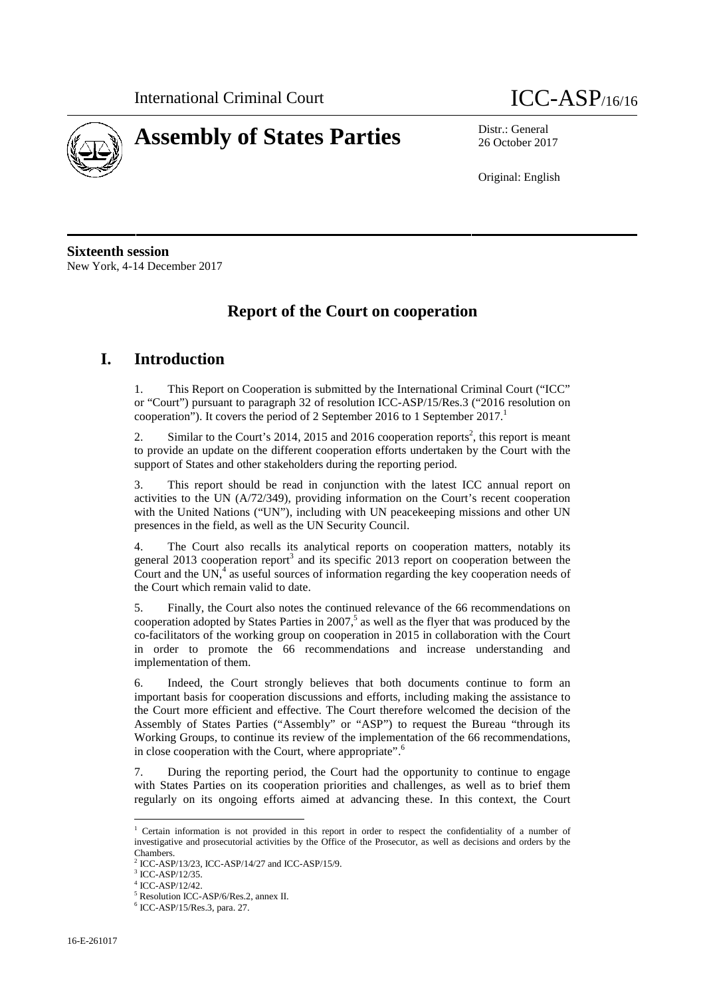



26 October 2017

Original: English

**Sixteenth session** New York, 4-14 December 2017

## **Report of the Court on cooperation**

### **I. Introduction**

1. This Report on Cooperation is submitted by the International Criminal Court ("ICC" or "Court") pursuant to paragraph 32 of resolution ICC-ASP/15/Res.3 ("2016 resolution on cooperation"). It covers the period of 2 September 2016 to 1 September  $2017$ .<sup>1</sup>

2. Similar to the Court's 2014, 2015 and 2016 cooperation reports<sup>2</sup>, this report is meant to provide an update on the different cooperation efforts undertaken by the Court with the support of States and other stakeholders during the reporting period.

3. This report should be read in conjunction with the latest ICC annual report on activities to the UN (A/72/349), providing information on the Court's recent cooperation with the United Nations ("UN"), including with UN peacekeeping missions and other UN presences in the field, as well as the UN Security Council.

4. The Court also recalls its analytical reports on cooperation matters, notably its general 2013 cooperation report $3$  and its specific 2013 report on cooperation between the Court and the UN, $<sup>4</sup>$  as useful sources of information regarding the key cooperation needs of</sup> the Court which remain valid to date.

5. Finally, the Court also notes the continued relevance of the 66 recommendations on cooperation adopted by States Parties in  $2007<sup>5</sup>$  as well as the flyer that was produced by the co-facilitators of the working group on cooperation in 2015 in collaboration with the Court in order to promote the 66 recommendations and increase understanding and implementation of them.

6. Indeed, the Court strongly believes that both documents continue to form an important basis for cooperation discussions and efforts, including making the assistance to the Court more efficient and effective. The Court therefore welcomed the decision of the Assembly of States Parties ("Assembly" or "ASP") to request the Bureau "through its Working Groups, to continue its review of the implementation of the 66 recommendations, in close cooperation with the Court, where appropriate".<sup>6</sup>

7. During the reporting period, the Court had the opportunity to continue to engage with States Parties on its cooperation priorities and challenges, as well as to brief them regularly on its ongoing efforts aimed at advancing these. In this context, the Court

<sup>1</sup> Certain information is not provided in this report in order to respect the confidentiality of a number of investigative and prosecutorial activities by the Office of the Prosecutor, as well as decisions and orders by the Chambers.

 $^2$  ICC-ASP/13/23, ICC-ASP/14/27 and ICC-ASP/15/9.  $^3$  ICC-ASP/12/35.

<sup>4</sup> ICC-ASP/12/42.

<sup>5</sup> Resolution ICC-ASP/6/Res.2, annex II. <sup>6</sup> ICC-ASP/15/Res.3, para. 27.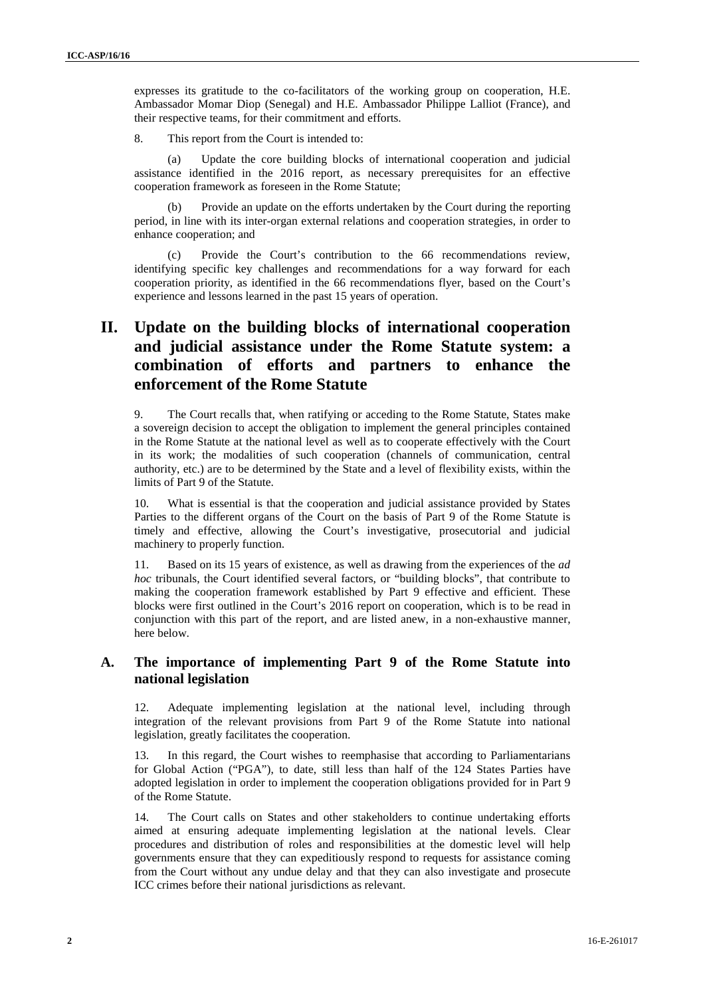expresses its gratitude to the co-facilitators of the working group on cooperation, H.E. Ambassador Momar Diop (Senegal) and H.E. Ambassador Philippe Lalliot (France), and their respective teams, for their commitment and efforts.

8. This report from the Court is intended to:

(a) Update the core building blocks of international cooperation and judicial assistance identified in the 2016 report, as necessary prerequisites for an effective cooperation framework as foreseen in the Rome Statute;

Provide an update on the efforts undertaken by the Court during the reporting period, in line with its inter-organ external relations and cooperation strategies, in order to enhance cooperation; and

(c) Provide the Court's contribution to the 66 recommendations review, identifying specific key challenges and recommendations for a way forward for each cooperation priority, as identified in the 66 recommendations flyer, based on the Court's experience and lessons learned in the past 15 years of operation.

## **II. Update on the building blocks of international cooperation and judicial assistance under the Rome Statute system: a combination of efforts and partners to enhance the enforcement of the Rome Statute**

9. The Court recalls that, when ratifying or acceding to the Rome Statute, States make a sovereign decision to accept the obligation to implement the general principles contained in the Rome Statute at the national level as well as to cooperate effectively with the Court in its work; the modalities of such cooperation (channels of communication, central authority, etc.) are to be determined by the State and a level of flexibility exists, within the limits of Part 9 of the Statute.

10. What is essential is that the cooperation and judicial assistance provided by States Parties to the different organs of the Court on the basis of Part 9 of the Rome Statute is timely and effective, allowing the Court's investigative, prosecutorial and judicial machinery to properly function.

11. Based on its 15 years of existence, as well as drawing from the experiences of the *ad hoc* tribunals, the Court identified several factors, or "building blocks", that contribute to making the cooperation framework established by Part 9 effective and efficient. These blocks were first outlined in the Court's 2016 report on cooperation, which is to be read in conjunction with this part of the report, and are listed anew, in a non-exhaustive manner, here below.

#### **A. The importance of implementing Part 9 of the Rome Statute into national legislation**

12. Adequate implementing legislation at the national level, including through integration of the relevant provisions from Part 9 of the Rome Statute into national legislation, greatly facilitates the cooperation.

13. In this regard, the Court wishes to reemphasise that according to Parliamentarians for Global Action ("PGA"), to date, still less than half of the 124 States Parties have adopted legislation in order to implement the cooperation obligations provided for in Part 9 of the Rome Statute.

14. The Court calls on States and other stakeholders to continue undertaking efforts aimed at ensuring adequate implementing legislation at the national levels. Clear procedures and distribution of roles and responsibilities at the domestic level will help governments ensure that they can expeditiously respond to requests for assistance coming from the Court without any undue delay and that they can also investigate and prosecute ICC crimes before their national jurisdictions as relevant.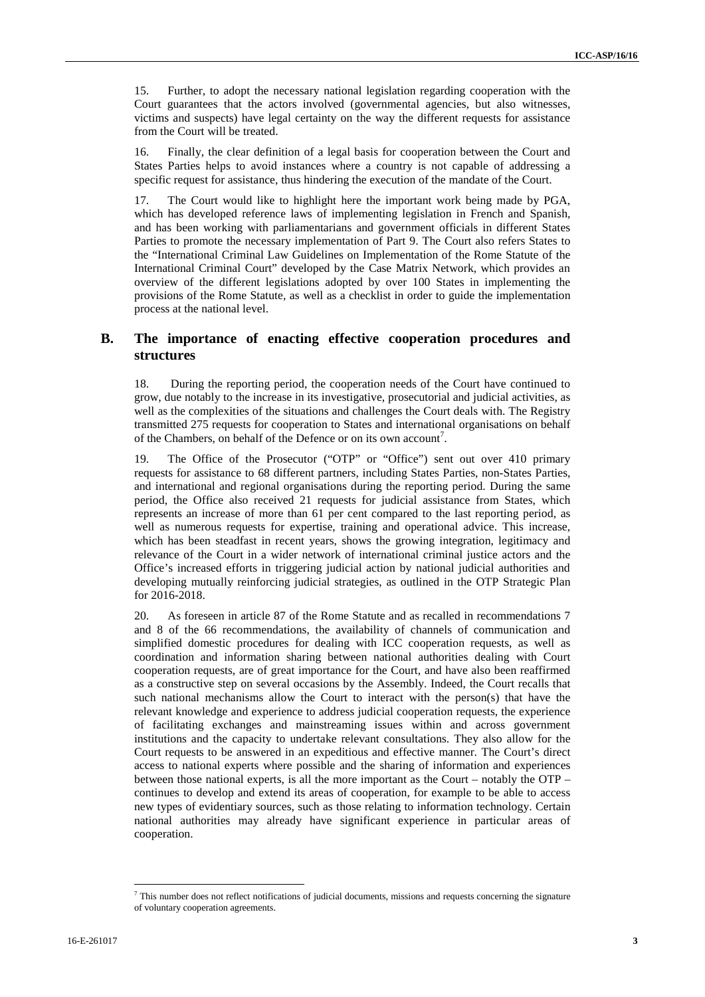15. Further, to adopt the necessary national legislation regarding cooperation with the Court guarantees that the actors involved (governmental agencies, but also witnesses, victims and suspects) have legal certainty on the way the different requests for assistance from the Court will be treated.

16. Finally, the clear definition of a legal basis for cooperation between the Court and States Parties helps to avoid instances where a country is not capable of addressing a specific request for assistance, thus hindering the execution of the mandate of the Court.

17. The Court would like to highlight here the important work being made by PGA, which has developed reference laws of implementing legislation in French and Spanish, and has been working with parliamentarians and government officials in different States Parties to promote the necessary implementation of Part 9. The Court also refers States to the "International Criminal Law Guidelines on Implementation of the Rome Statute of the International Criminal Court" developed by the Case Matrix Network, which provides an overview of the different legislations adopted by over 100 States in implementing the provisions of the Rome Statute, as well as a checklist in order to guide the implementation process at the national level.

#### **B. The importance of enacting effective cooperation procedures and structures**

18. During the reporting period, the cooperation needs of the Court have continued to grow, due notably to the increase in its investigative, prosecutorial and judicial activities, as well as the complexities of the situations and challenges the Court deals with. The Registry transmitted 275 requests for cooperation to States and international organisations on behalf of the Chambers, on behalf of the Defence or on its own account<sup>7</sup>.

19. The Office of the Prosecutor ("OTP" or "Office") sent out over 410 primary requests for assistance to 68 different partners, including States Parties, non-States Parties, and international and regional organisations during the reporting period. During the same period, the Office also received 21 requests for judicial assistance from States, which represents an increase of more than 61 per cent compared to the last reporting period, as well as numerous requests for expertise, training and operational advice. This increase, which has been steadfast in recent years, shows the growing integration, legitimacy and relevance of the Court in a wider network of international criminal justice actors and the Office's increased efforts in triggering judicial action by national judicial authorities and developing mutually reinforcing judicial strategies, as outlined in the OTP Strategic Plan for 2016-2018.

20. As foreseen in article 87 of the Rome Statute and as recalled in recommendations 7 and 8 of the 66 recommendations, the availability of channels of communication and simplified domestic procedures for dealing with ICC cooperation requests, as well as coordination and information sharing between national authorities dealing with Court cooperation requests, are of great importance for the Court, and have also been reaffirmed as a constructive step on several occasions by the Assembly. Indeed, the Court recalls that such national mechanisms allow the Court to interact with the person(s) that have the relevant knowledge and experience to address judicial cooperation requests, the experience of facilitating exchanges and mainstreaming issues within and across government institutions and the capacity to undertake relevant consultations. They also allow for the Court requests to be answered in an expeditious and effective manner. The Court's direct access to national experts where possible and the sharing of information and experiences between those national experts, is all the more important as the Court – notably the OTP – continues to develop and extend its areas of cooperation, for example to be able to access new types of evidentiary sources, such as those relating to information technology. Certain national authorities may already have significant experience in particular areas of cooperation.

<sup>7</sup> This number does not reflect notifications of judicial documents, missions and requests concerning the signature of voluntary cooperation agreements.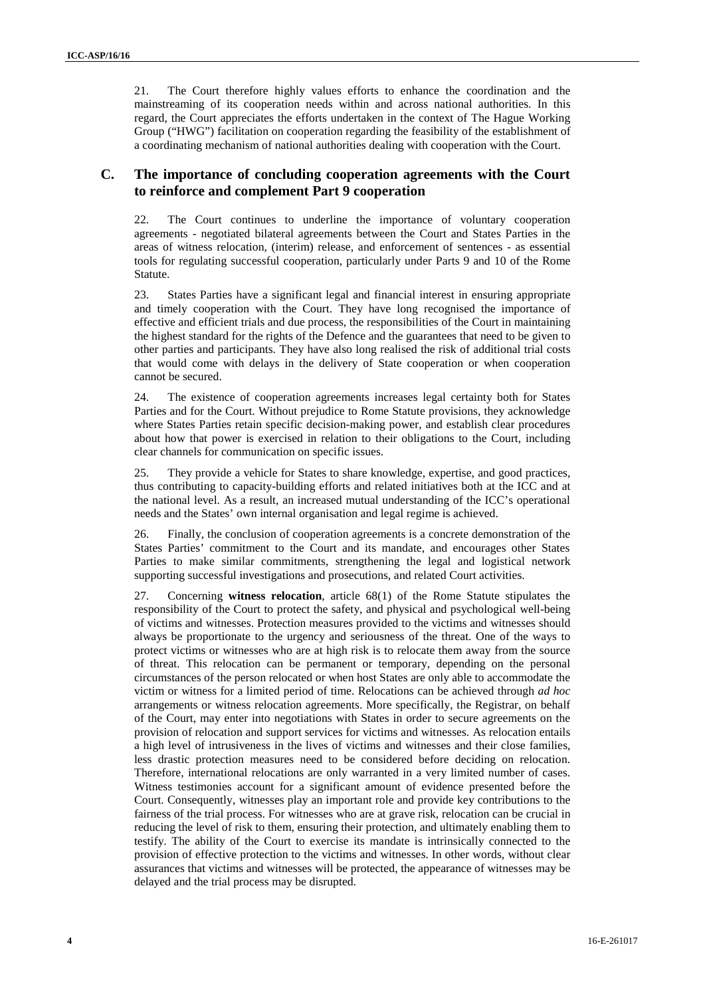21. The Court therefore highly values efforts to enhance the coordination and the mainstreaming of its cooperation needs within and across national authorities. In this regard, the Court appreciates the efforts undertaken in the context of The Hague Working Group ("HWG") facilitation on cooperation regarding the feasibility of the establishment of a coordinating mechanism of national authorities dealing with cooperation with the Court.

#### **C. The importance of concluding cooperation agreements with the Court to reinforce and complement Part 9 cooperation**

22. The Court continues to underline the importance of voluntary cooperation agreements - negotiated bilateral agreements between the Court and States Parties in the areas of witness relocation, (interim) release, and enforcement of sentences - as essential tools for regulating successful cooperation, particularly under Parts 9 and 10 of the Rome Statute.

23. States Parties have a significant legal and financial interest in ensuring appropriate and timely cooperation with the Court. They have long recognised the importance of effective and efficient trials and due process, the responsibilities of the Court in maintaining the highest standard for the rights of the Defence and the guarantees that need to be given to other parties and participants. They have also long realised the risk of additional trial costs that would come with delays in the delivery of State cooperation or when cooperation cannot be secured.

24. The existence of cooperation agreements increases legal certainty both for States Parties and for the Court. Without prejudice to Rome Statute provisions, they acknowledge where States Parties retain specific decision-making power, and establish clear procedures about how that power is exercised in relation to their obligations to the Court, including clear channels for communication on specific issues.

25. They provide a vehicle for States to share knowledge, expertise, and good practices, thus contributing to capacity-building efforts and related initiatives both at the ICC and at the national level. As a result, an increased mutual understanding of the ICC's operational needs and the States' own internal organisation and legal regime is achieved.

26. Finally, the conclusion of cooperation agreements is a concrete demonstration of the States Parties' commitment to the Court and its mandate, and encourages other States Parties to make similar commitments, strengthening the legal and logistical network supporting successful investigations and prosecutions, and related Court activities.

27. Concerning **witness relocation**, article 68(1) of the Rome Statute stipulates the responsibility of the Court to protect the safety, and physical and psychological well-being of victims and witnesses. Protection measures provided to the victims and witnesses should always be proportionate to the urgency and seriousness of the threat. One of the ways to protect victims or witnesses who are at high risk is to relocate them away from the source of threat. This relocation can be permanent or temporary, depending on the personal circumstances of the person relocated or when host States are only able to accommodate the victim or witness for a limited period of time. Relocations can be achieved through *ad hoc* arrangements or witness relocation agreements. More specifically, the Registrar, on behalf of the Court, may enter into negotiations with States in order to secure agreements on the provision of relocation and support services for victims and witnesses. As relocation entails a high level of intrusiveness in the lives of victims and witnesses and their close families, less drastic protection measures need to be considered before deciding on relocation. Therefore, international relocations are only warranted in a very limited number of cases. Witness testimonies account for a significant amount of evidence presented before the Court. Consequently, witnesses play an important role and provide key contributions to the fairness of the trial process. For witnesses who are at grave risk, relocation can be crucial in reducing the level of risk to them, ensuring their protection, and ultimately enabling them to testify. The ability of the Court to exercise its mandate is intrinsically connected to the provision of effective protection to the victims and witnesses. In other words, without clear assurances that victims and witnesses will be protected, the appearance of witnesses may be delayed and the trial process may be disrupted.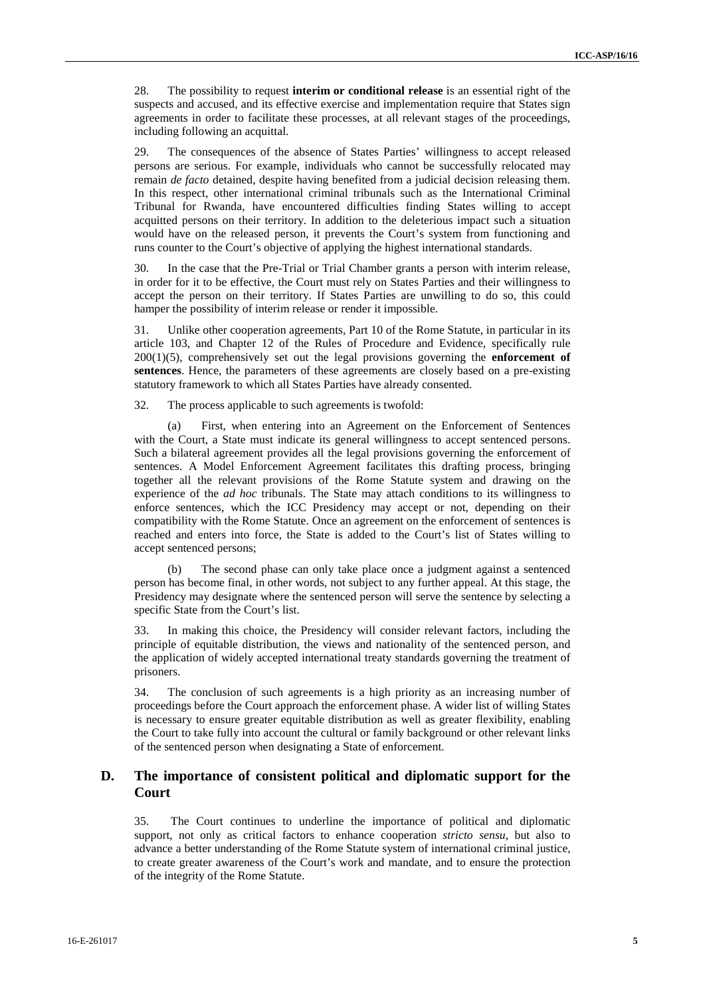28. The possibility to request **interim or conditional release** is an essential right of the suspects and accused, and its effective exercise and implementation require that States sign agreements in order to facilitate these processes, at all relevant stages of the proceedings, including following an acquittal.

29. The consequences of the absence of States Parties' willingness to accept released persons are serious. For example, individuals who cannot be successfully relocated may remain *de facto* detained, despite having benefited from a judicial decision releasing them. In this respect, other international criminal tribunals such as the International Criminal Tribunal for Rwanda, have encountered difficulties finding States willing to accept acquitted persons on their territory. In addition to the deleterious impact such a situation would have on the released person, it prevents the Court's system from functioning and runs counter to the Court's objective of applying the highest international standards.

30. In the case that the Pre-Trial or Trial Chamber grants a person with interim release, in order for it to be effective, the Court must rely on States Parties and their willingness to accept the person on their territory. If States Parties are unwilling to do so, this could hamper the possibility of interim release or render it impossible.

31. Unlike other cooperation agreements, Part 10 of the Rome Statute, in particular in its article 103, and Chapter 12 of the Rules of Procedure and Evidence, specifically rule 200(1)(5), comprehensively set out the legal provisions governing the **enforcement of sentences**. Hence, the parameters of these agreements are closely based on a pre-existing statutory framework to which all States Parties have already consented.

32. The process applicable to such agreements is twofold:

(a) First, when entering into an Agreement on the Enforcement of Sentences with the Court, a State must indicate its general willingness to accept sentenced persons. Such a bilateral agreement provides all the legal provisions governing the enforcement of sentences. A Model Enforcement Agreement facilitates this drafting process, bringing together all the relevant provisions of the Rome Statute system and drawing on the experience of the *ad hoc* tribunals. The State may attach conditions to its willingness to enforce sentences, which the ICC Presidency may accept or not, depending on their compatibility with the Rome Statute. Once an agreement on the enforcement of sentences is reached and enters into force, the State is added to the Court's list of States willing to accept sentenced persons;

(b) The second phase can only take place once a judgment against a sentenced person has become final, in other words, not subject to any further appeal. At this stage, the Presidency may designate where the sentenced person will serve the sentence by selecting a specific State from the Court's list.

33. In making this choice, the Presidency will consider relevant factors, including the principle of equitable distribution, the views and nationality of the sentenced person, and the application of widely accepted international treaty standards governing the treatment of prisoners.

34. The conclusion of such agreements is a high priority as an increasing number of proceedings before the Court approach the enforcement phase. A wider list of willing States is necessary to ensure greater equitable distribution as well as greater flexibility, enabling the Court to take fully into account the cultural or family background or other relevant links of the sentenced person when designating a State of enforcement.

#### **D. The importance of consistent political and diplomatic support for the Court**

35. The Court continues to underline the importance of political and diplomatic support, not only as critical factors to enhance cooperation *stricto sensu*, but also to advance a better understanding of the Rome Statute system of international criminal justice, to create greater awareness of the Court's work and mandate, and to ensure the protection of the integrity of the Rome Statute.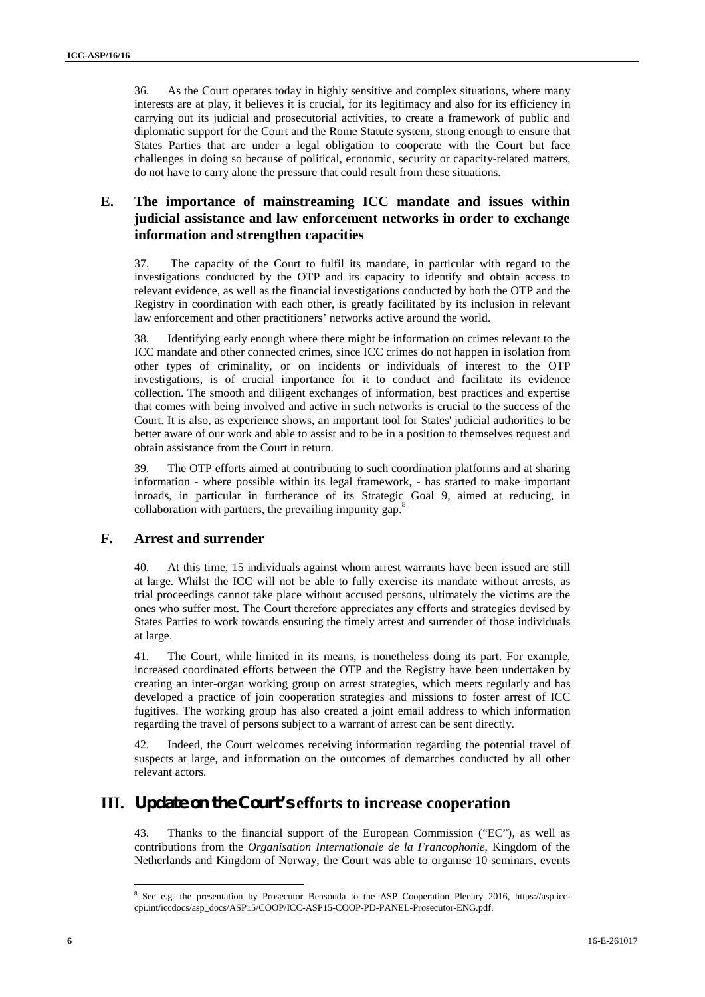36. As the Court operates today in highly sensitive and complex situations, where many interests are at play, it believes it is crucial, for its legitimacy and also for its efficiency in carrying out its judicial and prosecutorial activities, to create a framework of public and diplomatic support for the Court and the Rome Statute system, strong enough to ensure that States Parties that are under a legal obligation to cooperate with the Court but face challenges in doing so because of political, economic, security or capacity-related matters, do not have to carry alone the pressure that could result from these situations.

#### **E. The importance of mainstreaming ICC mandate and issues within judicial assistance and law enforcement networks in order to exchange information and strengthen capacities**

37. The capacity of the Court to fulfil its mandate, in particular with regard to the investigations conducted by the OTP and its capacity to identify and obtain access to relevant evidence, as well as the financial investigations conducted by both the OTP and the Registry in coordination with each other, is greatly facilitated by its inclusion in relevant law enforcement and other practitioners' networks active around the world.

38. Identifying early enough where there might be information on crimes relevant to the ICC mandate and other connected crimes, since ICC crimes do not happen in isolation from other types of criminality, or on incidents or individuals of interest to the OTP investigations, is of crucial importance for it to conduct and facilitate its evidence collection. The smooth and diligent exchanges of information, best practices and expertise that comes with being involved and active in such networks is crucial to the success of the Court. It is also, as experience shows, an important tool for States' judicial authorities to be better aware of our work and able to assist and to be in a position to themselves request and obtain assistance from the Court in return.

39. The OTP efforts aimed at contributing to such coordination platforms and at sharing information - where possible within its legal framework, - has started to make important inroads, in particular in furtherance of its Strategic Goal 9, aimed at reducing, in collaboration with partners, the prevailing impunity gap. $\frac{8}{3}$ 

#### **F. Arrest and surrender**

40. At this time, 15 individuals against whom arrest warrants have been issued are still at large. Whilst the ICC will not be able to fully exercise its mandate without arrests, as trial proceedings cannot take place without accused persons, ultimately the victims are the ones who suffer most. The Court therefore appreciates any efforts and strategies devised by States Parties to work towards ensuring the timely arrest and surrender of those individuals at large.

41. The Court, while limited in its means, is nonetheless doing its part. For example, increased coordinated efforts between the OTP and the Registry have been undertaken by creating an inter-organ working group on arrest strategies, which meets regularly and has developed a practice of join cooperation strategies and missions to foster arrest of ICC fugitives. The working group has also created a joint email address to which information regarding the travel of persons subject to a warrant of arrest can be sent directly.

42. Indeed, the Court welcomes receiving information regarding the potential travel of suspects at large, and information on the outcomes of demarches conducted by all other relevant actors.

### **III. Update on the Court's efforts to increase cooperation**

43. Thanks to the financial support of the European Commission ("EC"), as well as contributions from the *Organisation Internationale de la Francophonie*, Kingdom of the Netherlands and Kingdom of Norway, the Court was able to organise 10 seminars, events

<sup>8</sup> See e.g. the presentation by Prosecutor Bensouda to the ASP Cooperation Plenary 2016, https://asp.icc cpi.int/iccdocs/asp\_docs/ASP15/COOP/ICC-ASP15-COOP-PD-PANEL-Prosecutor-ENG.pdf.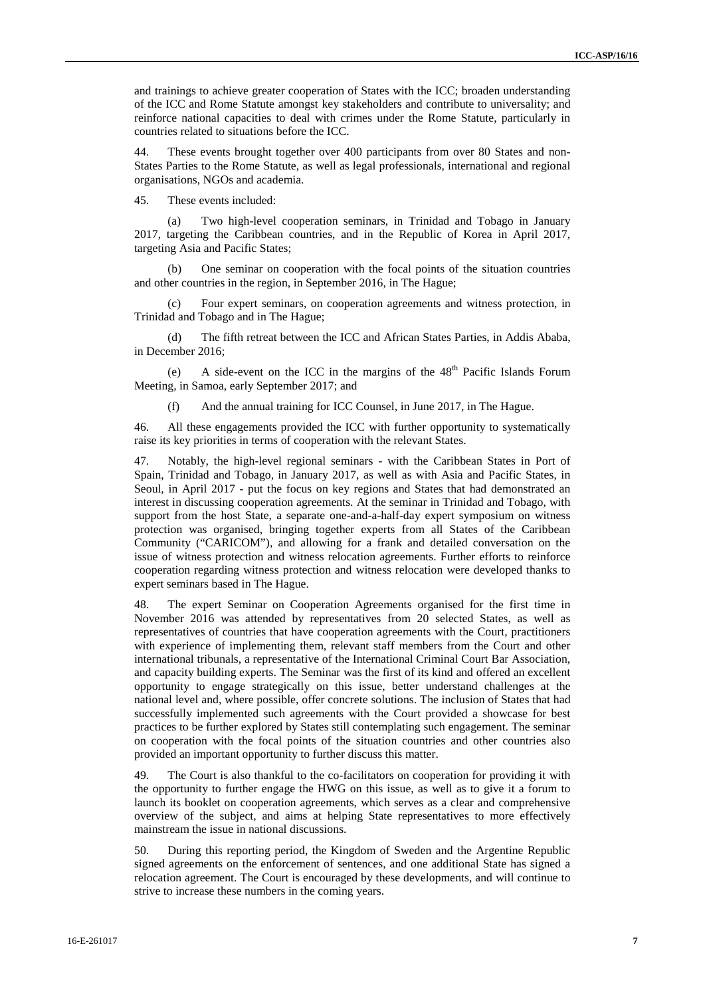and trainings to achieve greater cooperation of States with the ICC; broaden understanding of the ICC and Rome Statute amongst key stakeholders and contribute to universality; and reinforce national capacities to deal with crimes under the Rome Statute, particularly in countries related to situations before the ICC.

44. These events brought together over 400 participants from over 80 States and non- States Parties to the Rome Statute, as well as legal professionals, international and regional organisations, NGOs and academia.

45. These events included:

(a) Two high-level cooperation seminars, in Trinidad and Tobago in January 2017, targeting the Caribbean countries, and in the Republic of Korea in April 2017, targeting Asia and Pacific States;

(b) One seminar on cooperation with the focal points of the situation countries and other countries in the region, in September 2016, in The Hague;

(c) Four expert seminars, on cooperation agreements and witness protection, in Trinidad and Tobago and in The Hague;

The fifth retreat between the ICC and African States Parties, in Addis Ababa, in December 2016;

(e) A side-event on the ICC in the margins of the  $48<sup>th</sup>$  Pacific Islands Forum Meeting, in Samoa, early September 2017; and

(f) And the annual training for ICC Counsel, in June 2017, in The Hague.

46. All these engagements provided the ICC with further opportunity to systematically raise its key priorities in terms of cooperation with the relevant States.

47. Notably, the high-level regional seminars - with the Caribbean States in Port of Spain, Trinidad and Tobago, in January 2017, as well as with Asia and Pacific States, in Seoul, in April 2017 - put the focus on key regions and States that had demonstrated an interest in discussing cooperation agreements. At the seminar in Trinidad and Tobago, with support from the host State, a separate one-and-a-half-day expert symposium on witness protection was organised, bringing together experts from all States of the Caribbean Community ("CARICOM"), and allowing for a frank and detailed conversation on the issue of witness protection and witness relocation agreements. Further efforts to reinforce cooperation regarding witness protection and witness relocation were developed thanks to expert seminars based in The Hague.

48. The expert Seminar on Cooperation Agreements organised for the first time in November 2016 was attended by representatives from 20 selected States, as well as representatives of countries that have cooperation agreements with the Court, practitioners with experience of implementing them, relevant staff members from the Court and other international tribunals, a representative of the International Criminal Court Bar Association, and capacity building experts. The Seminar was the first of its kind and offered an excellent opportunity to engage strategically on this issue, better understand challenges at the national level and, where possible, offer concrete solutions. The inclusion of States that had successfully implemented such agreements with the Court provided a showcase for best practices to be further explored by States still contemplating such engagement. The seminar on cooperation with the focal points of the situation countries and other countries also provided an important opportunity to further discuss this matter.

49. The Court is also thankful to the co-facilitators on cooperation for providing it with the opportunity to further engage the HWG on this issue, as well as to give it a forum to launch its booklet on cooperation agreements, which serves as a clear and comprehensive overview of the subject, and aims at helping State representatives to more effectively mainstream the issue in national discussions.

50. During this reporting period, the Kingdom of Sweden and the Argentine Republic signed agreements on the enforcement of sentences, and one additional State has signed a relocation agreement. The Court is encouraged by these developments, and will continue to strive to increase these numbers in the coming years.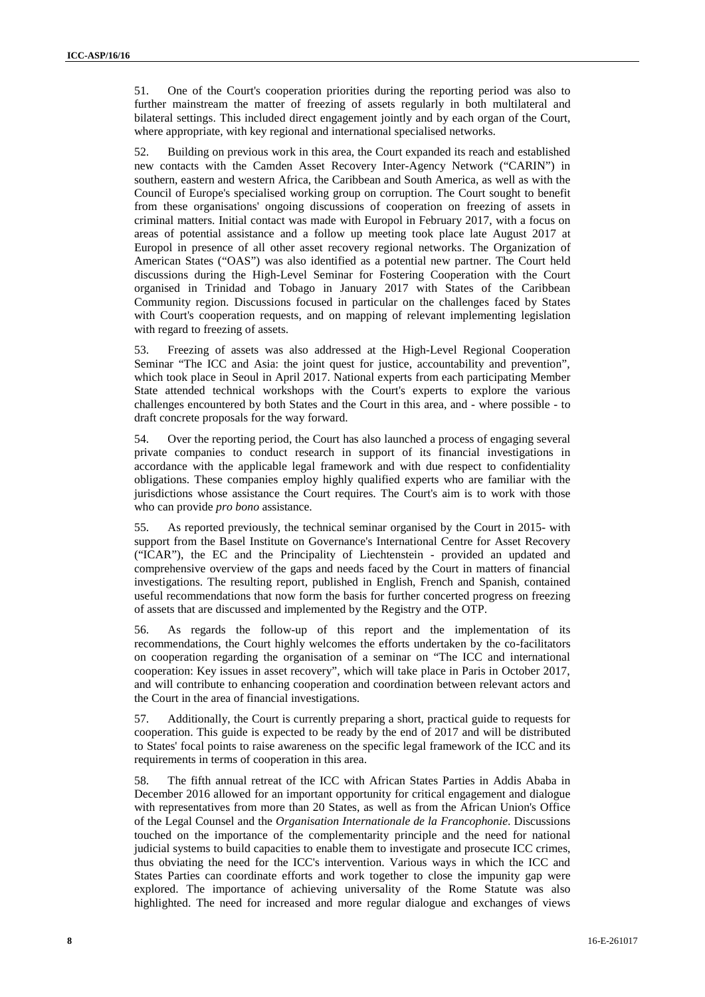51. One of the Court's cooperation priorities during the reporting period was also to further mainstream the matter of freezing of assets regularly in both multilateral and bilateral settings. This included direct engagement jointly and by each organ of the Court, where appropriate, with key regional and international specialised networks.

52. Building on previous work in this area, the Court expanded its reach and established new contacts with the Camden Asset Recovery Inter-Agency Network ("CARIN") in southern, eastern and western Africa, the Caribbean and South America, as well as with the Council of Europe's specialised working group on corruption. The Court sought to benefit from these organisations' ongoing discussions of cooperation on freezing of assets in criminal matters. Initial contact was made with Europol in February 2017, with a focus on areas of potential assistance and a follow up meeting took place late August 2017 at Europol in presence of all other asset recovery regional networks. The Organization of American States ("OAS") was also identified as a potential new partner. The Court held discussions during the High-Level Seminar for Fostering Cooperation with the Court organised in Trinidad and Tobago in January 2017 with States of the Caribbean Community region. Discussions focused in particular on the challenges faced by States with Court's cooperation requests, and on mapping of relevant implementing legislation with regard to freezing of assets.

53. Freezing of assets was also addressed at the High-Level Regional Cooperation Seminar "The ICC and Asia: the joint quest for justice, accountability and prevention", which took place in Seoul in April 2017. National experts from each participating Member State attended technical workshops with the Court's experts to explore the various challenges encountered by both States and the Court in this area, and - where possible - to draft concrete proposals for the way forward.

54. Over the reporting period, the Court has also launched a process of engaging several private companies to conduct research in support of its financial investigations in accordance with the applicable legal framework and with due respect to confidentiality obligations. These companies employ highly qualified experts who are familiar with the jurisdictions whose assistance the Court requires. The Court's aim is to work with those who can provide *pro bono* assistance.

55. As reported previously, the technical seminar organised by the Court in 2015- with support from the Basel Institute on Governance's International Centre for Asset Recovery ("ICAR"), the EC and the Principality of Liechtenstein - provided an updated and comprehensive overview of the gaps and needs faced by the Court in matters of financial investigations. The resulting report, published in English, French and Spanish, contained useful recommendations that now form the basis for further concerted progress on freezing of assets that are discussed and implemented by the Registry and the OTP.

56. As regards the follow-up of this report and the implementation of its recommendations, the Court highly welcomes the efforts undertaken by the co-facilitators on cooperation regarding the organisation of a seminar on "The ICC and international cooperation: Key issues in asset recovery", which will take place in Paris in October 2017, and will contribute to enhancing cooperation and coordination between relevant actors and the Court in the area of financial investigations.

57. Additionally, the Court is currently preparing a short, practical guide to requests for cooperation. This guide is expected to be ready by the end of 2017 and will be distributed to States' focal points to raise awareness on the specific legal framework of the ICC and its requirements in terms of cooperation in this area.

58. The fifth annual retreat of the ICC with African States Parties in Addis Ababa in December 2016 allowed for an important opportunity for critical engagement and dialogue with representatives from more than 20 States, as well as from the African Union's Office of the Legal Counsel and the *Organisation Internationale de la Francophonie*. Discussions touched on the importance of the complementarity principle and the need for national judicial systems to build capacities to enable them to investigate and prosecute ICC crimes, thus obviating the need for the ICC's intervention. Various ways in which the ICC and States Parties can coordinate efforts and work together to close the impunity gap were explored. The importance of achieving universality of the Rome Statute was also highlighted. The need for increased and more regular dialogue and exchanges of views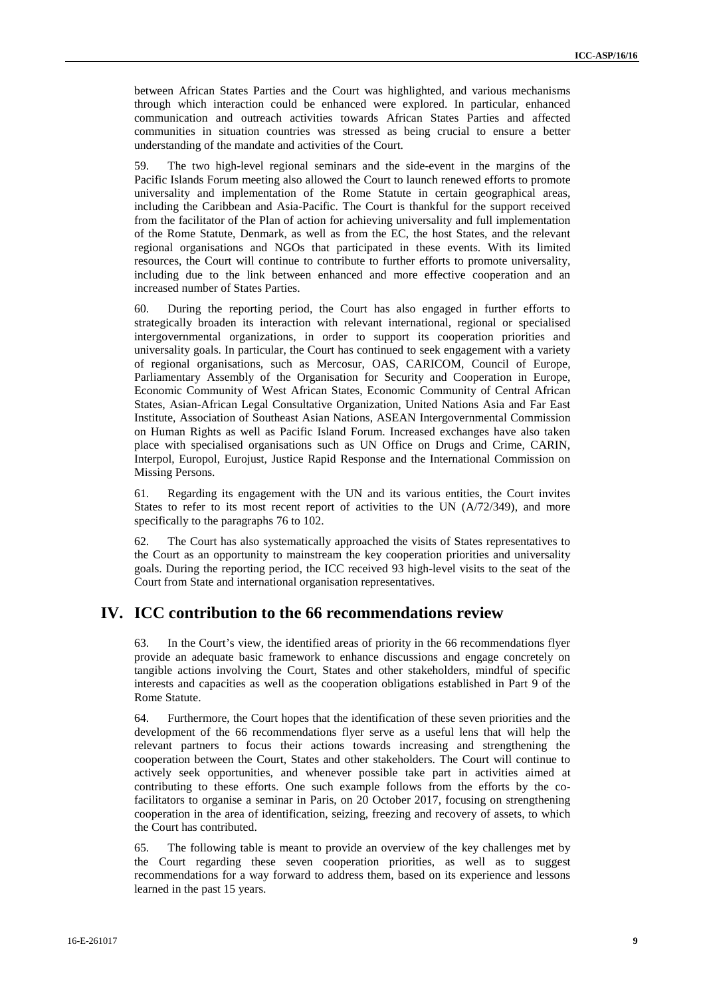between African States Parties and the Court was highlighted, and various mechanisms through which interaction could be enhanced were explored. In particular, enhanced communication and outreach activities towards African States Parties and affected communities in situation countries was stressed as being crucial to ensure a better understanding of the mandate and activities of the Court.

59. The two high-level regional seminars and the side-event in the margins of the Pacific Islands Forum meeting also allowed the Court to launch renewed efforts to promote universality and implementation of the Rome Statute in certain geographical areas, including the Caribbean and Asia-Pacific. The Court is thankful for the support received from the facilitator of the Plan of action for achieving universality and full implementation of the Rome Statute, Denmark, as well as from the EC, the host States, and the relevant regional organisations and NGOs that participated in these events. With its limited resources, the Court will continue to contribute to further efforts to promote universality, including due to the link between enhanced and more effective cooperation and an increased number of States Parties.

60. During the reporting period, the Court has also engaged in further efforts to strategically broaden its interaction with relevant international, regional or specialised intergovernmental organizations, in order to support its cooperation priorities and universality goals. In particular, the Court has continued to seek engagement with a variety of regional organisations, such as Mercosur, OAS, CARICOM, Council of Europe, Parliamentary Assembly of the Organisation for Security and Cooperation in Europe, Economic Community of West African States, Economic Community of Central African States, Asian-African Legal Consultative Organization, United Nations Asia and Far East Institute, Association of Southeast Asian Nations, ASEAN Intergovernmental Commission on Human Rights as well as Pacific Island Forum. Increased exchanges have also taken place with specialised organisations such as UN Office on Drugs and Crime, CARIN, Interpol, Europol, Eurojust, Justice Rapid Response and the International Commission on Missing Persons.

61. Regarding its engagement with the UN and its various entities, the Court invites States to refer to its most recent report of activities to the UN  $(A/72/349)$ , and more specifically to the paragraphs 76 to 102.

62. The Court has also systematically approached the visits of States representatives to the Court as an opportunity to mainstream the key cooperation priorities and universality goals. During the reporting period, the ICC received 93 high-level visits to the seat of the Court from State and international organisation representatives.

#### **IV. ICC contribution to the 66 recommendations review**

63. In the Court's view, the identified areas of priority in the 66 recommendations flyer provide an adequate basic framework to enhance discussions and engage concretely on tangible actions involving the Court, States and other stakeholders, mindful of specific interests and capacities as well as the cooperation obligations established in Part 9 of the Rome Statute.

64. Furthermore, the Court hopes that the identification of these seven priorities and the development of the 66 recommendations flyer serve as a useful lens that will help the relevant partners to focus their actions towards increasing and strengthening the cooperation between the Court, States and other stakeholders. The Court will continue to actively seek opportunities, and whenever possible take part in activities aimed at contributing to these efforts. One such example follows from the efforts by the cofacilitators to organise a seminar in Paris, on 20 October 2017, focusing on strengthening cooperation in the area of identification, seizing, freezing and recovery of assets, to which the Court has contributed.

65. The following table is meant to provide an overview of the key challenges met by the Court regarding these seven cooperation priorities, as well as to suggest recommendations for a way forward to address them, based on its experience and lessons learned in the past 15 years.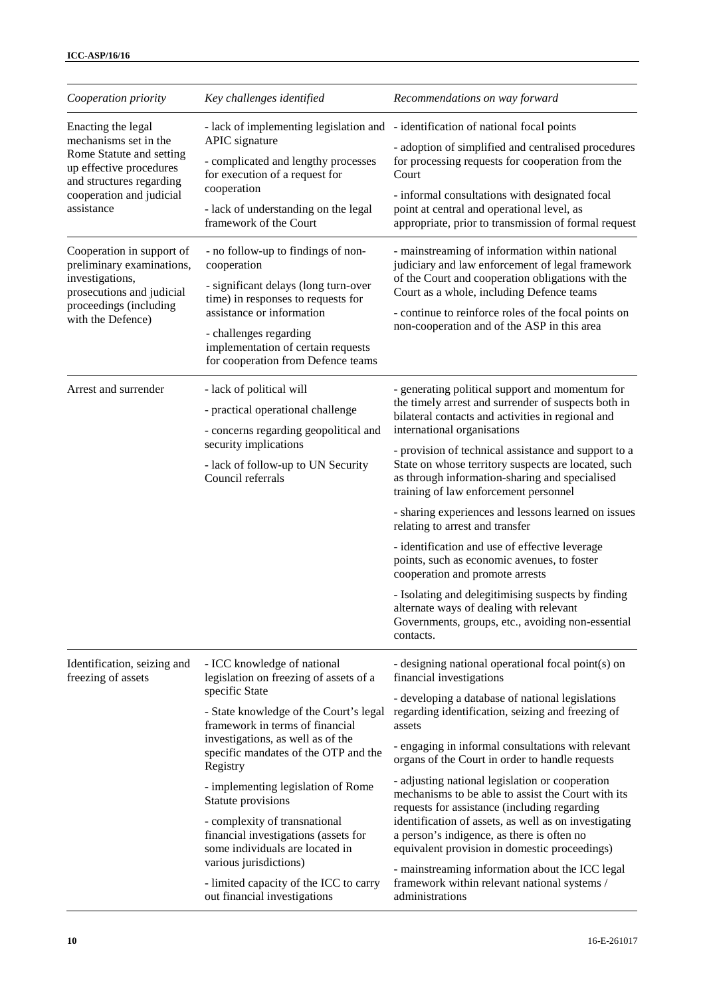| Cooperation priority                                                                                                                                                                                  | Key challenges identified                                                                                                                                                                                                                                                                                                                                                                                                                                                                                                                 | Recommendations on way forward                                                                                                                                                                                                                                                                                                                                                                                                                                                                                                                                                                                                                                                                                                                                                                        |
|-------------------------------------------------------------------------------------------------------------------------------------------------------------------------------------------------------|-------------------------------------------------------------------------------------------------------------------------------------------------------------------------------------------------------------------------------------------------------------------------------------------------------------------------------------------------------------------------------------------------------------------------------------------------------------------------------------------------------------------------------------------|-------------------------------------------------------------------------------------------------------------------------------------------------------------------------------------------------------------------------------------------------------------------------------------------------------------------------------------------------------------------------------------------------------------------------------------------------------------------------------------------------------------------------------------------------------------------------------------------------------------------------------------------------------------------------------------------------------------------------------------------------------------------------------------------------------|
| Enacting the legal<br>mechanisms set in the<br>Rome Statute and setting<br>up effective procedures<br>and structures regarding<br>cooperation and judicial<br>assistance<br>Cooperation in support of | APIC signature<br>- complicated and lengthy processes<br>for execution of a request for<br>cooperation<br>- lack of understanding on the legal<br>framework of the Court<br>- no follow-up to findings of non-                                                                                                                                                                                                                                                                                                                            | - lack of implementing legislation and - identification of national focal points<br>- adoption of simplified and centralised procedures<br>for processing requests for cooperation from the<br>Court<br>- informal consultations with designated focal<br>point at central and operational level, as<br>appropriate, prior to transmission of formal request<br>- mainstreaming of information within national                                                                                                                                                                                                                                                                                                                                                                                        |
| preliminary examinations,<br>investigations,<br>prosecutions and judicial<br>proceedings (including<br>with the Defence)                                                                              | cooperation<br>- significant delays (long turn-over<br>time) in responses to requests for<br>assistance or information<br>- challenges regarding<br>implementation of certain requests<br>for cooperation from Defence teams                                                                                                                                                                                                                                                                                                              | judiciary and law enforcement of legal framework<br>of the Court and cooperation obligations with the<br>Court as a whole, including Defence teams<br>- continue to reinforce roles of the focal points on<br>non-cooperation and of the ASP in this area                                                                                                                                                                                                                                                                                                                                                                                                                                                                                                                                             |
| Arrest and surrender                                                                                                                                                                                  | - lack of political will<br>- practical operational challenge<br>- concerns regarding geopolitical and<br>security implications<br>- lack of follow-up to UN Security<br>Council referrals                                                                                                                                                                                                                                                                                                                                                | - generating political support and momentum for<br>the timely arrest and surrender of suspects both in<br>bilateral contacts and activities in regional and<br>international organisations<br>- provision of technical assistance and support to a<br>State on whose territory suspects are located, such<br>as through information-sharing and specialised<br>training of law enforcement personnel<br>- sharing experiences and lessons learned on issues<br>relating to arrest and transfer<br>- identification and use of effective leverage<br>points, such as economic avenues, to foster<br>cooperation and promote arrests<br>- Isolating and delegitimising suspects by finding<br>alternate ways of dealing with relevant<br>Governments, groups, etc., avoiding non-essential<br>contacts. |
| Identification, seizing and<br>freezing of assets                                                                                                                                                     | - ICC knowledge of national<br>legislation on freezing of assets of a<br>specific State<br>- State knowledge of the Court's legal<br>framework in terms of financial<br>investigations, as well as of the<br>specific mandates of the OTP and the<br>Registry<br>- implementing legislation of Rome<br>Statute provisions<br>- complexity of transnational<br>financial investigations (assets for<br>some individuals are located in<br>various jurisdictions)<br>- limited capacity of the ICC to carry<br>out financial investigations | - designing national operational focal point(s) on<br>financial investigations<br>- developing a database of national legislations<br>regarding identification, seizing and freezing of<br>assets<br>- engaging in informal consultations with relevant<br>organs of the Court in order to handle requests<br>- adjusting national legislation or cooperation<br>mechanisms to be able to assist the Court with its<br>requests for assistance (including regarding<br>identification of assets, as well as on investigating<br>a person's indigence, as there is often no<br>equivalent provision in domestic proceedings)<br>- mainstreaming information about the ICC legal<br>framework within relevant national systems /<br>administrations                                                     |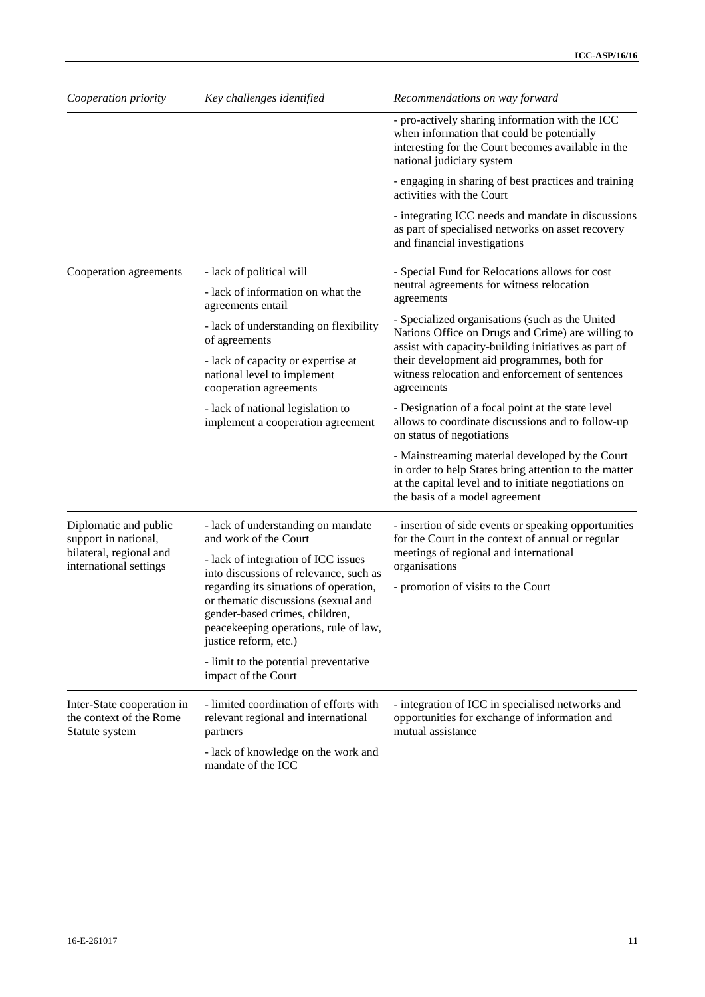| Cooperation priority                                                                               | Key challenges identified                                                                                                                                                                                                                                          | Recommendations on way forward                                                                                                                                                                                                                                              |
|----------------------------------------------------------------------------------------------------|--------------------------------------------------------------------------------------------------------------------------------------------------------------------------------------------------------------------------------------------------------------------|-----------------------------------------------------------------------------------------------------------------------------------------------------------------------------------------------------------------------------------------------------------------------------|
|                                                                                                    |                                                                                                                                                                                                                                                                    | - pro-actively sharing information with the ICC<br>when information that could be potentially<br>interesting for the Court becomes available in the<br>national judiciary system                                                                                            |
|                                                                                                    |                                                                                                                                                                                                                                                                    | - engaging in sharing of best practices and training<br>activities with the Court                                                                                                                                                                                           |
|                                                                                                    |                                                                                                                                                                                                                                                                    | - integrating ICC needs and mandate in discussions<br>as part of specialised networks on asset recovery<br>and financial investigations                                                                                                                                     |
| Cooperation agreements                                                                             | - lack of political will                                                                                                                                                                                                                                           | - Special Fund for Relocations allows for cost<br>neutral agreements for witness relocation                                                                                                                                                                                 |
|                                                                                                    | - lack of information on what the<br>agreements entail                                                                                                                                                                                                             | agreements                                                                                                                                                                                                                                                                  |
|                                                                                                    | - lack of understanding on flexibility<br>of agreements                                                                                                                                                                                                            | - Specialized organisations (such as the United<br>Nations Office on Drugs and Crime) are willing to<br>assist with capacity-building initiatives as part of<br>their development aid programmes, both for<br>witness relocation and enforcement of sentences<br>agreements |
|                                                                                                    | - lack of capacity or expertise at<br>national level to implement<br>cooperation agreements                                                                                                                                                                        |                                                                                                                                                                                                                                                                             |
|                                                                                                    | - lack of national legislation to<br>implement a cooperation agreement                                                                                                                                                                                             | - Designation of a focal point at the state level<br>allows to coordinate discussions and to follow-up<br>on status of negotiations                                                                                                                                         |
|                                                                                                    |                                                                                                                                                                                                                                                                    | - Mainstreaming material developed by the Court<br>in order to help States bring attention to the matter<br>at the capital level and to initiate negotiations on<br>the basis of a model agreement                                                                          |
| Diplomatic and public<br>support in national,<br>bilateral, regional and<br>international settings | - lack of understanding on mandate<br>and work of the Court                                                                                                                                                                                                        | - insertion of side events or speaking opportunities<br>for the Court in the context of annual or regular<br>meetings of regional and international<br>organisations                                                                                                        |
|                                                                                                    | - lack of integration of ICC issues<br>into discussions of relevance, such as<br>regarding its situations of operation,<br>or thematic discussions (sexual and<br>gender-based crimes, children,<br>peacekeeping operations, rule of law,<br>justice reform, etc.) |                                                                                                                                                                                                                                                                             |
|                                                                                                    |                                                                                                                                                                                                                                                                    | - promotion of visits to the Court                                                                                                                                                                                                                                          |
|                                                                                                    | - limit to the potential preventative<br>impact of the Court                                                                                                                                                                                                       |                                                                                                                                                                                                                                                                             |
| Inter-State cooperation in<br>the context of the Rome<br>Statute system                            | - limited coordination of efforts with<br>relevant regional and international<br>partners                                                                                                                                                                          | - integration of ICC in specialised networks and<br>opportunities for exchange of information and<br>mutual assistance                                                                                                                                                      |
|                                                                                                    | - lack of knowledge on the work and<br>mandate of the ICC                                                                                                                                                                                                          |                                                                                                                                                                                                                                                                             |